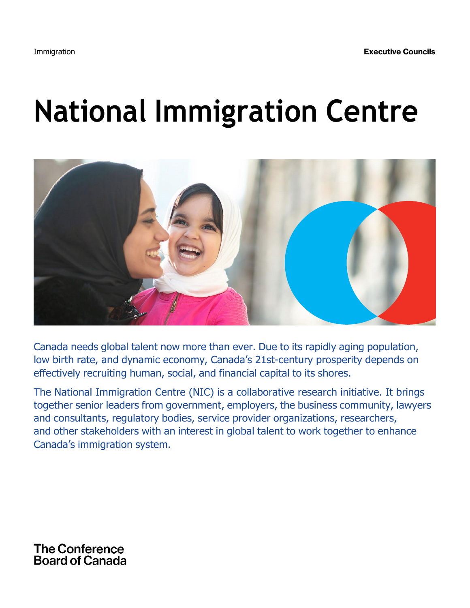# **National Immigration Centre**



Canada needs global talent now more than ever. Due to its rapidly aging population, low birth rate, and dynamic economy, Canada's 21st-century prosperity depends on effectively recruiting human, social, and financial capital to its shores.

The National Immigration Centre (NIC) is a collaborative research initiative. It brings together senior leaders from government, employers, the business community, lawyers and consultants, regulatory bodies, service provider organizations, researchers, and other stakeholders with an interest in global talent to work together to enhance Canada's immigration system.

## **The Conference Board of Canada**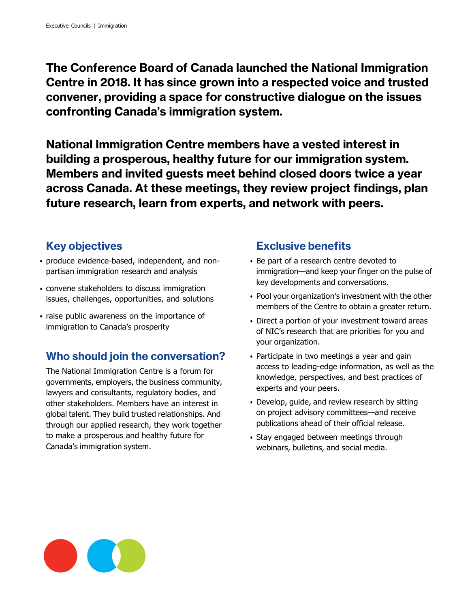The Conference Board of Canada launched the National Immigration Centre in 2018. It has since grown into a respected voice and trusted convener, providing a space for constructive dialogue on the issues confronting Canada's immigration system.

National Immigration Centre members have a vested interest in building a prosperous, healthy future for our immigration system. Members and invited guests meet behind closed doors twice a year across Canada. At these meetings, they review project findings, plan future research, learn from experts, and network with peers.

## Key objectives

- produce evidence-based, independent, and nonpartisan immigration research and analysis
- convene stakeholders to discuss immigration issues, challenges, opportunities, and solutions
- raise public awareness on the importance of immigration to Canada's prosperity

## Who should join the conversation?

The National Immigration Centre is a forum for governments, employers, the business community, lawyers and consultants, regulatory bodies, and other stakeholders. Members have an interest in global talent. They build trusted relationships. And through our applied research, they work together to make a prosperous and healthy future for Canada's immigration system.

## Exclusive benefits

- Be part of a research centre devoted to immigration—and keep your finger on the pulse of key developments and conversations.
- Pool your organization's investment with the other members of the Centre to obtain a greater return.
- Direct a portion of your investment toward areas of NIC's research that are priorities for you and your organization.
- Participate in two meetings a year and gain access to leading‑edge information, as well as the knowledge, perspectives, and best practices of experts and your peers.
- Develop, guide, and review research by sitting on project advisory committees—and receive publications ahead of their official release.
- Stay engaged between meetings through webinars, bulletins, and social media.